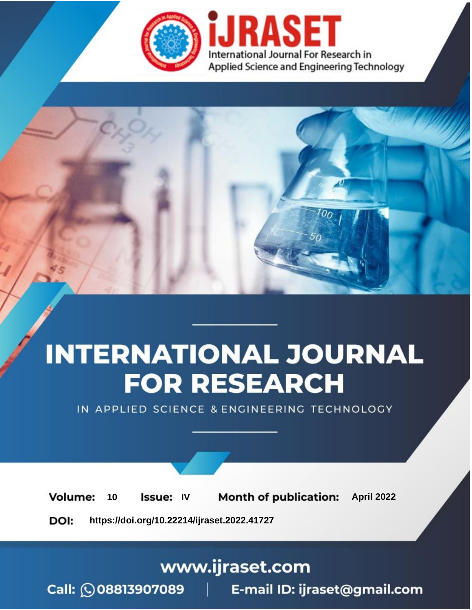

# **INTERNATIONAL JOURNAL FOR RESEARCH**

IN APPLIED SCIENCE & ENGINEERING TECHNOLOGY

Volume: 10 **Issue: IV Month of publication:** April 2022

**https://doi.org/10.22214/ijraset.2022.41727**DOI:

www.ijraset.com

Call: 008813907089 | E-mail ID: ijraset@gmail.com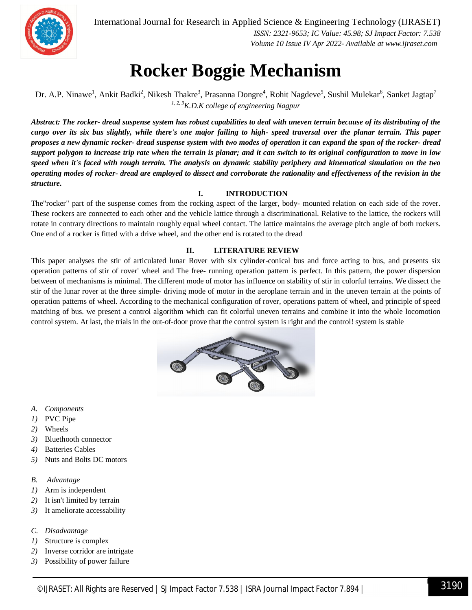

International Journal for Research in Applied Science & Engineering Technology (IJRASET**)**

 *ISSN: 2321-9653; IC Value: 45.98; SJ Impact Factor: 7.538 Volume 10 Issue IV Apr 2022- Available at www.ijraset.com*

### **Rocker Boggie Mechanism**

Dr. A.P. Ninawe<sup>1</sup>, Ankit Badki<sup>2</sup>, Nikesh Thakre<sup>3</sup>, Prasanna Dongre<sup>4</sup>, Rohit Nagdeve<sup>5</sup>, Sushil Mulekar<sup>6</sup>, Sanket Jagtap<sup>7</sup> *1, 2, 3K.D.K college of engineering Nagpur*

*Abstract: The rocker- dread suspense system has robust capabilities to deal with uneven terrain because of its distributing of the cargo over its six bus slightly, while there's one major failing to high- speed traversal over the planar terrain. This paper proposes a new dynamic rocker- dread suspense system with two modes of operation it can expand the span of the rocker- dread support polygon to increase trip rate when the terrain is planar; and it can switch to its original configuration to move in low speed when it's faced with rough terrain. The analysis on dynamic stability periphery and kinematical simulation on the two operating modes of rocker- dread are employed to dissect and corroborate the rationality and effectiveness of the revision in the structure.* 

#### **I. INTRODUCTION**

The"rocker" part of the suspense comes from the rocking aspect of the larger, body- mounted relation on each side of the rover. These rockers are connected to each other and the vehicle lattice through a discriminational. Relative to the lattice, the rockers will rotate in contrary directions to maintain roughly equal wheel contact. The lattice maintains the average pitch angle of both rockers. One end of a rocker is fitted with a drive wheel, and the other end is rotated to the dread

#### **II. LITERATURE REVIEW**

This paper analyses the stir of articulated lunar Rover with six cylinder-conical bus and force acting to bus, and presents six operation patterns of stir of rover' wheel and The free- running operation pattern is perfect. In this pattern, the power dispersion between of mechanisms is minimal. The different mode of motor has influence on stability of stir in colorful terrains. We dissect the stir of the lunar rover at the three simple- driving mode of motor in the aeroplane terrain and in the uneven terrain at the points of operation patterns of wheel. According to the mechanical configuration of rover, operations pattern of wheel, and principle of speed matching of bus. we present a control algorithm which can fit colorful uneven terrains and combine it into the whole locomotion control system. At last, the trials in the out-of-door prove that the control system is right and the control! system is stable



- *A. Components*
- *1)* PVC Pipe
- *2)* Wheels
- *3)* Bluethooth connector
- *4)* Batteries Cables
- *5)* Nuts and Bolts DC motors
- *B. Advantage*
- *1)* Arm is independent
- *2)* It isn't limited by terrain
- *3)* It ameliorate accessability
- *C. Disadvantage*
- *1)* Structure is complex
- *2)* Inverse corridor are intrigate
- *3)* Possibility of power failure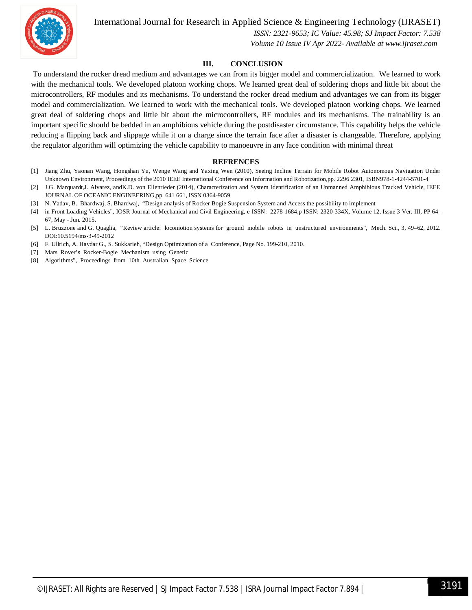International Journal for Research in Applied Science & Engineering Technology (IJRASET**)**



 *ISSN: 2321-9653; IC Value: 45.98; SJ Impact Factor: 7.538 Volume 10 Issue IV Apr 2022- Available at www.ijraset.com*

#### **III. CONCLUSION**

To understand the rocker dread medium and advantages we can from its bigger model and commercialization. We learned to work with the mechanical tools. We developed platoon working chops. We learned great deal of soldering chops and little bit about the microcontrollers, RF modules and its mechanisms. To understand the rocker dread medium and advantages we can from its bigger model and commercialization. We learned to work with the mechanical tools. We developed platoon working chops. We learned great deal of soldering chops and little bit about the microcontrollers, RF modules and its mechanisms. The trainability is an important specific should be bedded in an amphibious vehicle during the postdisaster circumstance. This capability helps the vehicle reducing a flipping back and slippage while it on a charge since the terrain face after a disaster is changeable. Therefore, applying the regulator algorithm will optimizing the vehicle capability to manoeuvre in any face condition with minimal threat

#### **REFRENCES**

- [1] Jiang Zhu, Yaonan Wang, Hongshan Yu, Wenge Wang and Yaxing Wen (2010), Seeing Incline Terrain for Mobile Robot Autonomous Navigation Under Unknown Environment, Proceedings of the 2010 IEEE International Conference on Information and Robotization,pp. 2296 2301, ISBN978-1-4244-5701-4
- [2] J.G. Marquardt,J. Alvarez, andK.D. von Ellenrieder (2014), Characterization and System Identification of an Unmanned Amphibious Tracked Vehicle, IEEE JOURNAL OF OCEANIC ENGINEERING,pp. 641 661, ISSN 0364-9059
- [3] N. Yadav, B. Bhardwaj, S. Bhardwaj, "Design analysis of Rocker Bogie Suspension System and Access the possibility to implement
- [4] in Front Loading Vehicles", IOSR Journal of Mechanical and Civil Engineering, e-ISSN: 2278-1684,p-ISSN: 2320-334X, Volume 12, Issue 3 Ver. III, PP 64- 67, May - Jun. 2015.
- [5] L. Bruzzone and G. Quaglia, "Review article: locomotion systems for ground mobile robots in unstructured environments", Mech. Sci., 3, 49–62, 2012. DOI:10.5194/ms-3-49-2012
- [6] F. Ullrich, A. Haydar G., S. Sukkarieh, "Design Optimization of a Conference, Page No. 199-210, 2010.
- [7] Mars Rover's Rocker-Bogie Mechanism using Genetic
- [8] Algorithms", Proceedings from 10th Australian Space Science